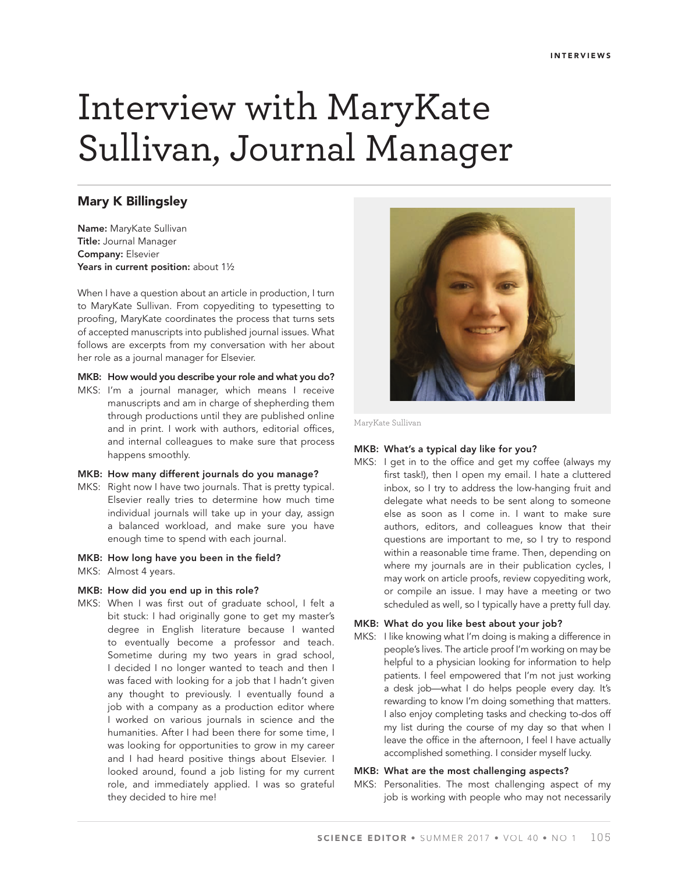# Interview with MaryKate Sullivan, Journal Manager

# **Mary K Billingsley**

**Name:** MaryKate Sullivan **Title:** Journal Manager **Company:** Elsevier Years in current position: about 1<sup>1/2</sup>

When I have a question about an article in production, I turn to MaryKate Sullivan. From copyediting to typesetting to proofing, MaryKate coordinates the process that turns sets of accepted manuscripts into published journal issues. What follows are excerpts from my conversation with her about her role as a journal manager for Elsevier.

#### **MKB: How would you describe your role and what you do?**

MKS: I'm a journal manager, which means I receive manuscripts and am in charge of shepherding them through productions until they are published online and in print. I work with authors, editorial offices, and internal colleagues to make sure that process happens smoothly.

#### **MKB: How many different journals do you manage?**

MKS: Right now I have two journals. That is pretty typical. Elsevier really tries to determine how much time individual journals will take up in your day, assign a balanced workload, and make sure you have enough time to spend with each journal.

#### **MKB: How long have you been in the field?**

MKS: Almost 4 years.

#### **MKB: How did you end up in this role?**

MKS: When I was first out of graduate school, I felt a bit stuck: I had originally gone to get my master's degree in English literature because I wanted to eventually become a professor and teach. Sometime during my two years in grad school, I decided I no longer wanted to teach and then I was faced with looking for a job that I hadn't given any thought to previously. I eventually found a job with a company as a production editor where I worked on various journals in science and the humanities. After I had been there for some time, I was looking for opportunities to grow in my career and I had heard positive things about Elsevier. I looked around, found a job listing for my current role, and immediately applied. I was so grateful they decided to hire me!



MaryKate Sullivan

### **MKB: What's a typical day like for you?**

MKS: I get in to the office and get my coffee (always my first task!), then I open my email. I hate a cluttered inbox, so I try to address the low-hanging fruit and delegate what needs to be sent along to someone else as soon as I come in. I want to make sure authors, editors, and colleagues know that their questions are important to me, so I try to respond within a reasonable time frame. Then, depending on where my journals are in their publication cycles, I may work on article proofs, review copyediting work, or compile an issue. I may have a meeting or two scheduled as well, so I typically have a pretty full day.

# **MKB: What do you like best about your job?**

MKS: I like knowing what I'm doing is making a difference in people's lives. The article proof I'm working on may be helpful to a physician looking for information to help patients. I feel empowered that I'm not just working a desk job—what I do helps people every day. It's rewarding to know I'm doing something that matters. I also enjoy completing tasks and checking to-dos off my list during the course of my day so that when I leave the office in the afternoon, I feel I have actually accomplished something. I consider myself lucky.

# **MKB: What are the most challenging aspects?**

MKS: Personalities. The most challenging aspect of my job is working with people who may not necessarily